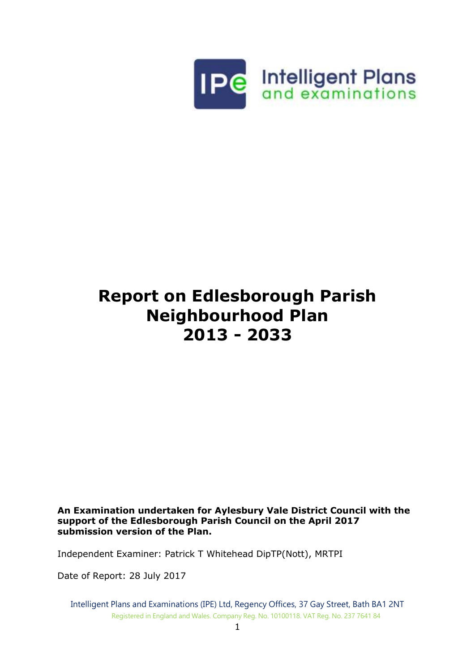

# **Report on Edlesborough Parish Neighbourhood Plan 2013 - 2033**

**An Examination undertaken for Aylesbury Vale District Council with the support of the Edlesborough Parish Council on the April 2017 submission version of the Plan.**

Independent Examiner: Patrick T Whitehead DipTP(Nott), MRTPI

Date of Report: 28 July 2017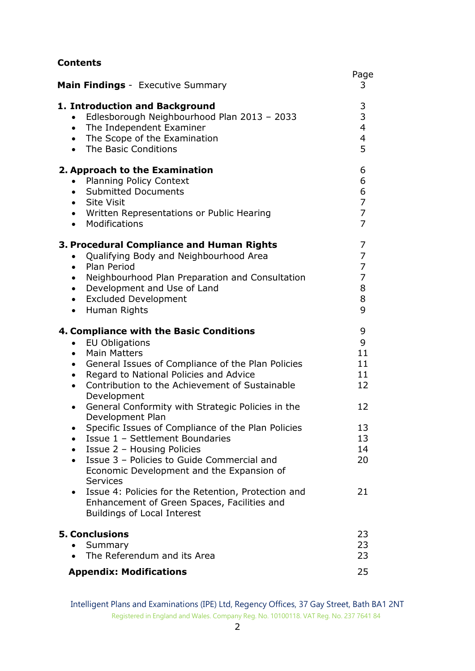| <b>Contents</b>                                                                                                                                                                                                                                                                                                                                                                    |                                                                   |
|------------------------------------------------------------------------------------------------------------------------------------------------------------------------------------------------------------------------------------------------------------------------------------------------------------------------------------------------------------------------------------|-------------------------------------------------------------------|
| <b>Main Findings</b> - Executive Summary                                                                                                                                                                                                                                                                                                                                           | Page<br>3                                                         |
| 1. Introduction and Background<br>Edlesborough Neighbourhood Plan 2013 - 2033<br>$\bullet$<br>• The Independent Examiner<br>• The Scope of the Examination<br>• The Basic Conditions                                                                                                                                                                                               | 3<br>3<br>$\overline{4}$<br>$\overline{\mathbf{4}}$<br>5          |
| 2. Approach to the Examination<br><b>Planning Policy Context</b><br>$\bullet$<br>• Submitted Documents<br>• Site Visit<br>• Written Representations or Public Hearing<br>• Modifications                                                                                                                                                                                           | 6<br>6<br>6<br>$\overline{7}$<br>$\overline{7}$<br>$\overline{7}$ |
| 3. Procedural Compliance and Human Rights<br>Qualifying Body and Neighbourhood Area<br>$\bullet$<br>• Plan Period<br>Neighbourhood Plan Preparation and Consultation<br>$\bullet$<br>• Development and Use of Land<br>• Excluded Development<br>• Human Rights                                                                                                                     | 7<br>7<br>$\overline{7}$<br>$\overline{7}$<br>8<br>8<br>9         |
| 4. Compliance with the Basic Conditions<br><b>EU Obligations</b><br>$\bullet$<br><b>Main Matters</b><br>$\bullet$<br>General Issues of Compliance of the Plan Policies<br>$\bullet$<br>Regard to National Policies and Advice<br>$\bullet$<br>Contribution to the Achievement of Sustainable<br>$\bullet$<br>Development<br>General Conformity with Strategic Policies in the<br>٠ | 9<br>9<br>11<br>11<br>11<br>12<br>12                              |
| Development Plan<br>Specific Issues of Compliance of the Plan Policies<br>٠<br>Issue 1 - Settlement Boundaries<br>$\bullet$<br>Issue 2 - Housing Policies<br>Issue 3 - Policies to Guide Commercial and<br>Economic Development and the Expansion of<br><b>Services</b>                                                                                                            | 13<br>13<br>14<br>20                                              |
| Issue 4: Policies for the Retention, Protection and<br>Enhancement of Green Spaces, Facilities and<br><b>Buildings of Local Interest</b>                                                                                                                                                                                                                                           | 21                                                                |
| <b>5. Conclusions</b><br>Summary<br>The Referendum and its Area<br>$\bullet$                                                                                                                                                                                                                                                                                                       | 23<br>23<br>23                                                    |
| <b>Appendix: Modifications</b>                                                                                                                                                                                                                                                                                                                                                     | 25                                                                |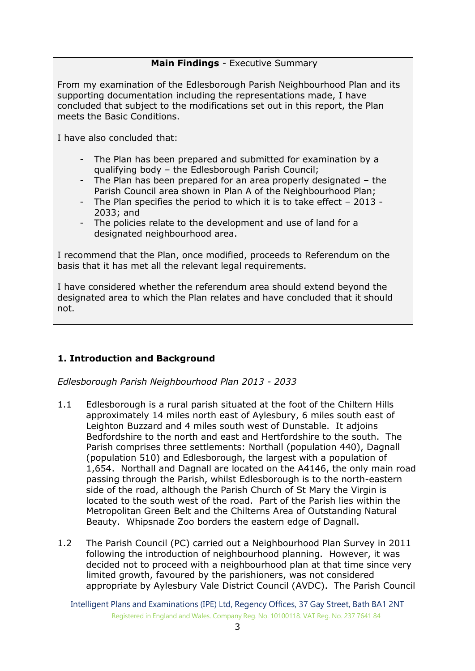# **Main Findings** - Executive Summary

From my examination of the Edlesborough Parish Neighbourhood Plan and its supporting documentation including the representations made, I have concluded that subject to the modifications set out in this report, the Plan meets the Basic Conditions.

I have also concluded that:

- The Plan has been prepared and submitted for examination by a qualifying body – the Edlesborough Parish Council;
- The Plan has been prepared for an area properly designated the Parish Council area shown in Plan A of the Neighbourhood Plan;
- The Plan specifies the period to which it is to take effect 2013 2033; and
- The policies relate to the development and use of land for a designated neighbourhood area.

I recommend that the Plan, once modified, proceeds to Referendum on the basis that it has met all the relevant legal requirements.

I have considered whether the referendum area should extend beyond the designated area to which the Plan relates and have concluded that it should not.

# **1. Introduction and Background**

*Edlesborough Parish Neighbourhood Plan 2013 - 2033*

- 1.1 Edlesborough is a rural parish situated at the foot of the Chiltern Hills approximately 14 miles north east of Aylesbury, 6 miles south east of Leighton Buzzard and 4 miles south west of Dunstable. It adjoins Bedfordshire to the north and east and Hertfordshire to the south. The Parish comprises three settlements: Northall (population 440), Dagnall (population 510) and Edlesborough, the largest with a population of 1,654. Northall and Dagnall are located on the A4146, the only main road passing through the Parish, whilst Edlesborough is to the north-eastern side of the road, although the Parish Church of St Mary the Virgin is located to the south west of the road. Part of the Parish lies within the Metropolitan Green Belt and the Chilterns Area of Outstanding Natural Beauty. Whipsnade Zoo borders the eastern edge of Dagnall.
- 1.2 The Parish Council (PC) carried out a Neighbourhood Plan Survey in 2011 following the introduction of neighbourhood planning. However, it was decided not to proceed with a neighbourhood plan at that time since very limited growth, favoured by the parishioners, was not considered appropriate by Aylesbury Vale District Council (AVDC). The Parish Council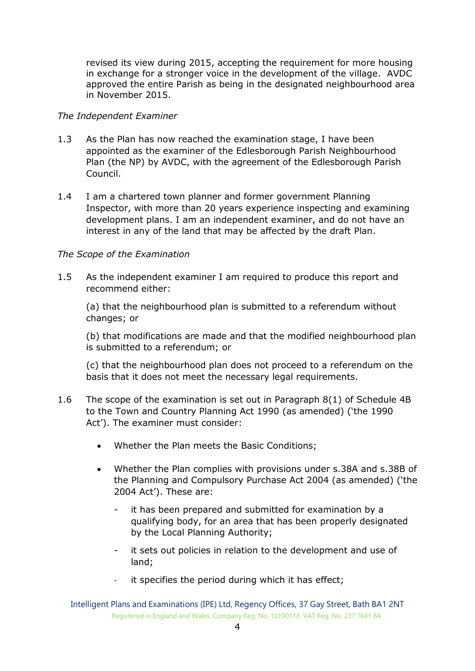revised its view during 2015, accepting the requirement for more housing in exchange for a stronger voice in the development of the village. AVDC approved the entire Parish as being in the designated neighbourhood area in November 2015.

## *The Independent Examiner*

- 1.3 As the Plan has now reached the examination stage, I have been appointed as the examiner of the Edlesborough Parish Neighbourhood Plan (the NP) by AVDC, with the agreement of the Edlesborough Parish Council.
- 1.4 I am a chartered town planner and former government Planning Inspector, with more than 20 years experience inspecting and examining development plans. I am an independent examiner, and do not have an interest in any of the land that may be affected by the draft Plan.

# *The Scope of the Examination*

1.5 As the independent examiner I am required to produce this report and recommend either:

(a) that the neighbourhood plan is submitted to a referendum without changes; or

(b) that modifications are made and that the modified neighbourhood plan is submitted to a referendum; or

(c) that the neighbourhood plan does not proceed to a referendum on the basis that it does not meet the necessary legal requirements.

- 1.6 The scope of the examination is set out in Paragraph 8(1) of Schedule 4B to the Town and Country Planning Act 1990 (as amended) ('the 1990 Act'). The examiner must consider:
	- Whether the Plan meets the Basic Conditions;
	- Whether the Plan complies with provisions under s.38A and s.38B of the Planning and Compulsory Purchase Act 2004 (as amended) ('the 2004 Act'). These are:
		- it has been prepared and submitted for examination by a qualifying body, for an area that has been properly designated by the Local Planning Authority;
		- it sets out policies in relation to the development and use of land;
		- it specifies the period during which it has effect;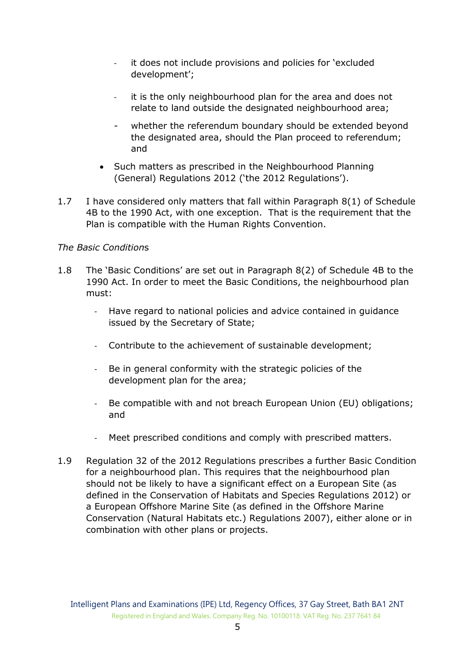- it does not include provisions and policies for 'excluded development';
- it is the only neighbourhood plan for the area and does not relate to land outside the designated neighbourhood area;
- whether the referendum boundary should be extended beyond the designated area, should the Plan proceed to referendum; and
- Such matters as prescribed in the Neighbourhood Planning (General) Regulations 2012 ('the 2012 Regulations').
- 1.7 I have considered only matters that fall within Paragraph 8(1) of Schedule 4B to the 1990 Act, with one exception. That is the requirement that the Plan is compatible with the Human Rights Convention.

# *The Basic Condition*s

- 1.8 The 'Basic Conditions' are set out in Paragraph 8(2) of Schedule 4B to the 1990 Act. In order to meet the Basic Conditions, the neighbourhood plan must:
	- Have regard to national policies and advice contained in guidance issued by the Secretary of State;
	- Contribute to the achievement of sustainable development;
	- Be in general conformity with the strategic policies of the development plan for the area;
	- Be compatible with and not breach European Union (EU) obligations; and
	- Meet prescribed conditions and comply with prescribed matters.
- 1.9 Regulation 32 of the 2012 Regulations prescribes a further Basic Condition for a neighbourhood plan. This requires that the neighbourhood plan should not be likely to have a significant effect on a European Site (as defined in the Conservation of Habitats and Species Regulations 2012) or a European Offshore Marine Site (as defined in the Offshore Marine Conservation (Natural Habitats etc.) Regulations 2007), either alone or in combination with other plans or projects.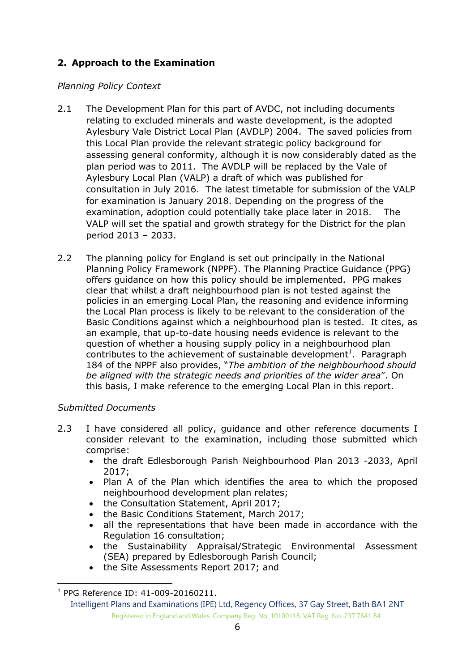# **2. Approach to the Examination**

# *Planning Policy Context*

- 2.1 The Development Plan for this part of AVDC, not including documents relating to excluded minerals and waste development, is the adopted Aylesbury Vale District Local Plan (AVDLP) 2004. The saved policies from this Local Plan provide the relevant strategic policy background for assessing general conformity, although it is now considerably dated as the plan period was to 2011. The AVDLP will be replaced by the Vale of Aylesbury Local Plan (VALP) a draft of which was published for consultation in July 2016. The latest timetable for submission of the VALP for examination is January 2018. Depending on the progress of the examination, adoption could potentially take place later in 2018. The VALP will set the spatial and growth strategy for the District for the plan period 2013 – 2033.
- 2.2 The planning policy for England is set out principally in the National Planning Policy Framework (NPPF). The Planning Practice Guidance (PPG) offers guidance on how this policy should be implemented. PPG makes clear that whilst a draft neighbourhood plan is not tested against the policies in an emerging Local Plan, the reasoning and evidence informing the Local Plan process is likely to be relevant to the consideration of the Basic Conditions against which a neighbourhood plan is tested. It cites, as an example, that up-to-date housing needs evidence is relevant to the question of whether a housing supply policy in a neighbourhood plan contributes to the achievement of sustainable development<sup>1</sup>. Paragraph 184 of the NPPF also provides, "*The ambition of the neighbourhood should be aligned with the strategic needs and priorities of the wider area*". On this basis, I make reference to the emerging Local Plan in this report.

# *Submitted Documents*

- 2.3 I have considered all policy, quidance and other reference documents I consider relevant to the examination, including those submitted which comprise:
	- the draft Edlesborough Parish Neighbourhood Plan 2013 -2033, April 2017;
	- Plan A of the Plan which identifies the area to which the proposed neighbourhood development plan relates;
	- the Consultation Statement, April 2017;
	- the Basic Conditions Statement, March 2017;
	- all the representations that have been made in accordance with the Regulation 16 consultation;
	- the Sustainability Appraisal/Strategic Environmental Assessment (SEA) prepared by Edlesborough Parish Council;
	- the Site Assessments Report 2017; and

-

<sup>1</sup> PPG Reference ID: 41-009-20160211.

Intelligent Plans and Examinations (IPE) Ltd, Regency Offices, 37 Gay Street, Bath BA1 2NT Registered in England and Wales. Company Reg. No. 10100118. VAT Reg. No. 237 7641 84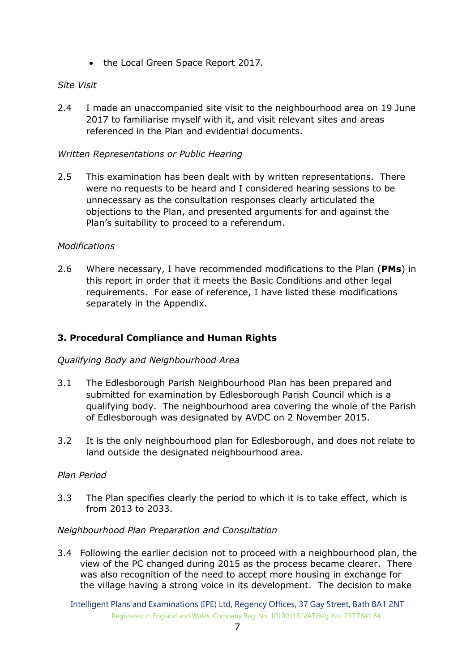• the Local Green Space Report 2017.

# *Site Visit*

2.4 I made an unaccompanied site visit to the neighbourhood area on 19 June 2017 to familiarise myself with it, and visit relevant sites and areas referenced in the Plan and evidential documents.

# *Written Representations or Public Hearing*

2.5 This examination has been dealt with by written representations. There were no requests to be heard and I considered hearing sessions to be unnecessary as the consultation responses clearly articulated the objections to the Plan, and presented arguments for and against the Plan's suitability to proceed to a referendum.

# *Modifications*

2.6 Where necessary, I have recommended modifications to the Plan (**PMs**) in this report in order that it meets the Basic Conditions and other legal requirements. For ease of reference, I have listed these modifications separately in the Appendix.

# **3. Procedural Compliance and Human Rights**

#### *Qualifying Body and Neighbourhood Area*

- 3.1 The Edlesborough Parish Neighbourhood Plan has been prepared and submitted for examination by Edlesborough Parish Council which is a qualifying body. The neighbourhood area covering the whole of the Parish of Edlesborough was designated by AVDC on 2 November 2015.
- 3.2 It is the only neighbourhood plan for Edlesborough, and does not relate to land outside the designated neighbourhood area.

#### *Plan Period*

3.3 The Plan specifies clearly the period to which it is to take effect, which is from 2013 to 2033.

#### *Neighbourhood Plan Preparation and Consultation*

3.4 Following the earlier decision not to proceed with a neighbourhood plan, the view of the PC changed during 2015 as the process became clearer. There was also recognition of the need to accept more housing in exchange for the village having a strong voice in its development. The decision to make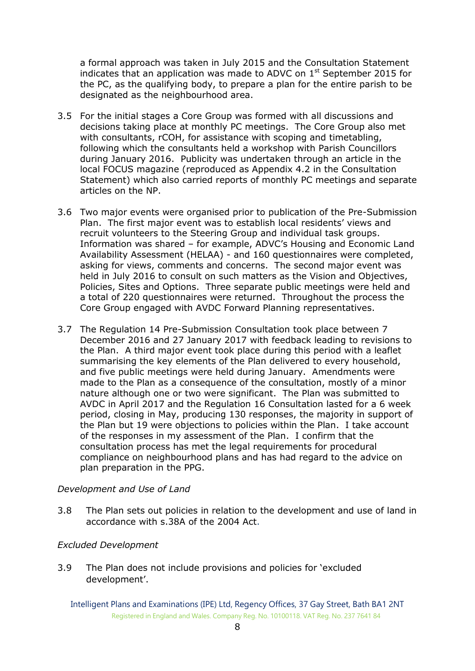a formal approach was taken in July 2015 and the Consultation Statement indicates that an application was made to ADVC on  $1<sup>st</sup>$  September 2015 for the PC, as the qualifying body, to prepare a plan for the entire parish to be designated as the neighbourhood area.

- 3.5 For the initial stages a Core Group was formed with all discussions and decisions taking place at monthly PC meetings. The Core Group also met with consultants, rCOH, for assistance with scoping and timetabling, following which the consultants held a workshop with Parish Councillors during January 2016. Publicity was undertaken through an article in the local FOCUS magazine (reproduced as Appendix 4.2 in the Consultation Statement) which also carried reports of monthly PC meetings and separate articles on the NP.
- 3.6 Two major events were organised prior to publication of the Pre-Submission Plan. The first major event was to establish local residents' views and recruit volunteers to the Steering Group and individual task groups. Information was shared – for example, ADVC's Housing and Economic Land Availability Assessment (HELAA) - and 160 questionnaires were completed, asking for views, comments and concerns. The second major event was held in July 2016 to consult on such matters as the Vision and Objectives, Policies, Sites and Options. Three separate public meetings were held and a total of 220 questionnaires were returned. Throughout the process the Core Group engaged with AVDC Forward Planning representatives.
- 3.7 The Regulation 14 Pre-Submission Consultation took place between 7 December 2016 and 27 January 2017 with feedback leading to revisions to the Plan. A third major event took place during this period with a leaflet summarising the key elements of the Plan delivered to every household, and five public meetings were held during January. Amendments were made to the Plan as a consequence of the consultation, mostly of a minor nature although one or two were significant. The Plan was submitted to AVDC in April 2017 and the Regulation 16 Consultation lasted for a 6 week period, closing in May, producing 130 responses, the majority in support of the Plan but 19 were objections to policies within the Plan. I take account of the responses in my assessment of the Plan. I confirm that the consultation process has met the legal requirements for procedural compliance on neighbourhood plans and has had regard to the advice on plan preparation in the PPG.

#### *Development and Use of Land*

3.8 The Plan sets out policies in relation to the development and use of land in accordance with s.38A of the 2004 Act.

#### *Excluded Development*

3.9 The Plan does not include provisions and policies for 'excluded development'.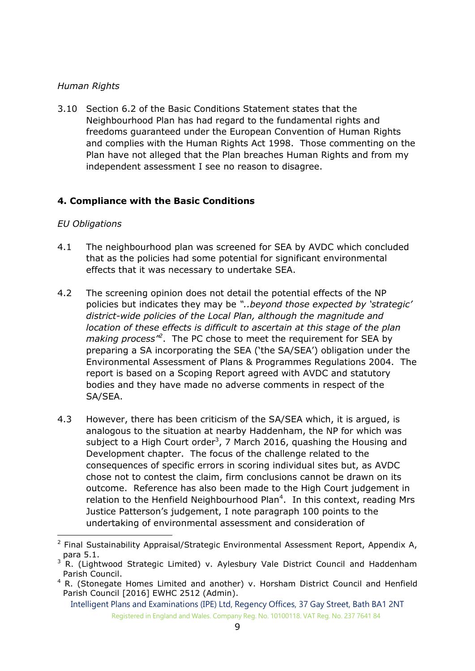# *Human Rights*

3.10 Section 6.2 of the Basic Conditions Statement states that the Neighbourhood Plan has had regard to the fundamental rights and freedoms guaranteed under the European Convention of Human Rights and complies with the Human Rights Act 1998. Those commenting on the Plan have not alleged that the Plan breaches Human Rights and from my independent assessment I see no reason to disagree.

# **4. Compliance with the Basic Conditions**

#### *EU Obligations*

-

- 4.1 The neighbourhood plan was screened for SEA by AVDC which concluded that as the policies had some potential for significant environmental effects that it was necessary to undertake SEA.
- 4.2 The screening opinion does not detail the potential effects of the NP policies but indicates they may be *"..beyond those expected by 'strategic' district-wide policies of the Local Plan, although the magnitude and location of these effects is difficult to ascertain at this stage of the plan making process"<sup>2</sup>* . The PC chose to meet the requirement for SEA by preparing a SA incorporating the SEA ('the SA/SEA') obligation under the Environmental Assessment of Plans & Programmes Regulations 2004. The report is based on a Scoping Report agreed with AVDC and statutory bodies and they have made no adverse comments in respect of the SA/SEA.
- 4.3 However, there has been criticism of the SA/SEA which, it is argued, is analogous to the situation at nearby Haddenham, the NP for which was subject to a High Court order<sup>3</sup>, 7 March 2016, quashing the Housing and Development chapter. The focus of the challenge related to the consequences of specific errors in scoring individual sites but, as AVDC chose not to contest the claim, firm conclusions cannot be drawn on its outcome. Reference has also been made to the High Court judgement in relation to the Henfield Neighbourhood Plan<sup>4</sup>. In this context, reading Mrs Justice Patterson's judgement, I note paragraph 100 points to the undertaking of environmental assessment and consideration of

<sup>&</sup>lt;sup>2</sup> Final Sustainability Appraisal/Strategic Environmental Assessment Report, Appendix A, para 5.1.

 $3$  R. (Lightwood Strategic Limited) v. Aylesbury Vale District Council and Haddenham Parish Council.

<sup>&</sup>lt;sup>4</sup> R. (Stonegate Homes Limited and another) v. Horsham District Council and Henfield Parish Council [2016] EWHC 2512 (Admin).

Intelligent Plans and Examinations (IPE) Ltd, Regency Offices, 37 Gay Street, Bath BA1 2NT Registered in England and Wales. Company Reg. No. 10100118. VAT Reg. No. 237 7641 84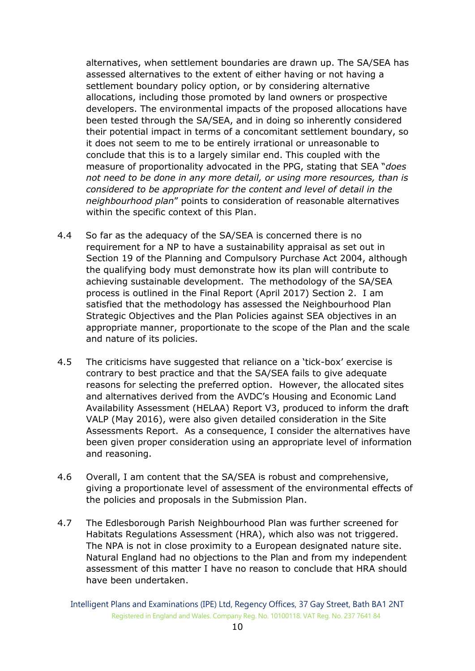alternatives, when settlement boundaries are drawn up. The SA/SEA has assessed alternatives to the extent of either having or not having a settlement boundary policy option, or by considering alternative allocations, including those promoted by land owners or prospective developers. The environmental impacts of the proposed allocations have been tested through the SA/SEA, and in doing so inherently considered their potential impact in terms of a concomitant settlement boundary, so it does not seem to me to be entirely irrational or unreasonable to conclude that this is to a largely similar end. This coupled with the measure of proportionality advocated in the PPG, stating that SEA "*does not need to be done in any more detail, or using more resources, than is considered to be appropriate for the content and level of detail in the neighbourhood plan*" points to consideration of reasonable alternatives within the specific context of this Plan.

- 4.4 So far as the adequacy of the SA/SEA is concerned there is no requirement for a NP to have a sustainability appraisal as set out in Section 19 of the Planning and Compulsory Purchase Act 2004, although the qualifying body must demonstrate how its plan will contribute to achieving sustainable development. The methodology of the SA/SEA process is outlined in the Final Report (April 2017) Section 2. I am satisfied that the methodology has assessed the Neighbourhood Plan Strategic Objectives and the Plan Policies against SEA objectives in an appropriate manner, proportionate to the scope of the Plan and the scale and nature of its policies.
- 4.5 The criticisms have suggested that reliance on a 'tick-box' exercise is contrary to best practice and that the SA/SEA fails to give adequate reasons for selecting the preferred option. However, the allocated sites and alternatives derived from the AVDC's Housing and Economic Land Availability Assessment (HELAA) Report V3, produced to inform the draft VALP (May 2016), were also given detailed consideration in the Site Assessments Report. As a consequence, I consider the alternatives have been given proper consideration using an appropriate level of information and reasoning.
- 4.6 Overall, I am content that the SA/SEA is robust and comprehensive, giving a proportionate level of assessment of the environmental effects of the policies and proposals in the Submission Plan.
- 4.7 The Edlesborough Parish Neighbourhood Plan was further screened for Habitats Regulations Assessment (HRA), which also was not triggered. The NPA is not in close proximity to a European designated nature site. Natural England had no objections to the Plan and from my independent assessment of this matter I have no reason to conclude that HRA should have been undertaken.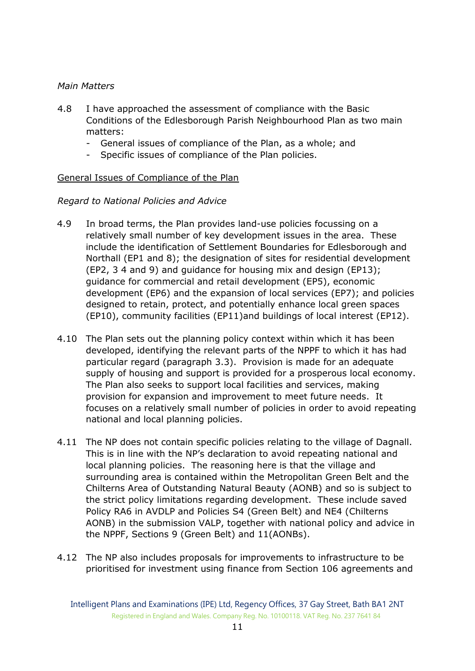#### *Main Matters*

- 4.8 I have approached the assessment of compliance with the Basic Conditions of the Edlesborough Parish Neighbourhood Plan as two main matters:
	- General issues of compliance of the Plan, as a whole; and
	- Specific issues of compliance of the Plan policies.

#### General Issues of Compliance of the Plan

#### *Regard to National Policies and Advice*

- 4.9 In broad terms, the Plan provides land-use policies focussing on a relatively small number of key development issues in the area. These include the identification of Settlement Boundaries for Edlesborough and Northall (EP1 and 8); the designation of sites for residential development (EP2, 3 4 and 9) and guidance for housing mix and design (EP13); guidance for commercial and retail development (EP5), economic development (EP6) and the expansion of local services (EP7); and policies designed to retain, protect, and potentially enhance local green spaces (EP10), community facilities (EP11)and buildings of local interest (EP12).
- 4.10 The Plan sets out the planning policy context within which it has been developed, identifying the relevant parts of the NPPF to which it has had particular regard (paragraph 3.3). Provision is made for an adequate supply of housing and support is provided for a prosperous local economy. The Plan also seeks to support local facilities and services, making provision for expansion and improvement to meet future needs. It focuses on a relatively small number of policies in order to avoid repeating national and local planning policies.
- 4.11 The NP does not contain specific policies relating to the village of Dagnall. This is in line with the NP's declaration to avoid repeating national and local planning policies. The reasoning here is that the village and surrounding area is contained within the Metropolitan Green Belt and the Chilterns Area of Outstanding Natural Beauty (AONB) and so is subject to the strict policy limitations regarding development. These include saved Policy RA6 in AVDLP and Policies S4 (Green Belt) and NE4 (Chilterns AONB) in the submission VALP, together with national policy and advice in the NPPF, Sections 9 (Green Belt) and 11(AONBs).
- 4.12 The NP also includes proposals for improvements to infrastructure to be prioritised for investment using finance from Section 106 agreements and

Intelligent Plans and Examinations (IPE) Ltd, Regency Offices, 37 Gay Street, Bath BA1 2NT Registered in England and Wales. Company Reg. No. 10100118. VAT Reg. No. 237 7641 84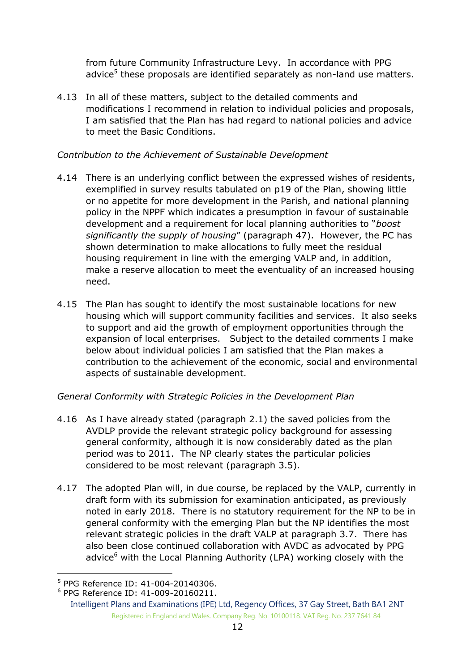from future Community Infrastructure Levy. In accordance with PPG advice<sup>5</sup> these proposals are identified separately as non-land use matters.

4.13 In all of these matters, subject to the detailed comments and modifications I recommend in relation to individual policies and proposals, I am satisfied that the Plan has had regard to national policies and advice to meet the Basic Conditions.

# *Contribution to the Achievement of Sustainable Development*

- 4.14 There is an underlying conflict between the expressed wishes of residents, exemplified in survey results tabulated on p19 of the Plan, showing little or no appetite for more development in the Parish, and national planning policy in the NPPF which indicates a presumption in favour of sustainable development and a requirement for local planning authorities to "*boost significantly the supply of housing*" (paragraph 47). However, the PC has shown determination to make allocations to fully meet the residual housing requirement in line with the emerging VALP and, in addition, make a reserve allocation to meet the eventuality of an increased housing need.
- 4.15 The Plan has sought to identify the most sustainable locations for new housing which will support community facilities and services. It also seeks to support and aid the growth of employment opportunities through the expansion of local enterprises. Subject to the detailed comments I make below about individual policies I am satisfied that the Plan makes a contribution to the achievement of the economic, social and environmental aspects of sustainable development.

# *General Conformity with Strategic Policies in the Development Plan*

- 4.16 As I have already stated (paragraph 2.1) the saved policies from the AVDLP provide the relevant strategic policy background for assessing general conformity, although it is now considerably dated as the plan period was to 2011. The NP clearly states the particular policies considered to be most relevant (paragraph 3.5).
- 4.17 The adopted Plan will, in due course, be replaced by the VALP, currently in draft form with its submission for examination anticipated, as previously noted in early 2018. There is no statutory requirement for the NP to be in general conformity with the emerging Plan but the NP identifies the most relevant strategic policies in the draft VALP at paragraph 3.7. There has also been close continued collaboration with AVDC as advocated by PPG advice $<sup>6</sup>$  with the Local Planning Authority (LPA) working closely with the</sup>

<sup>-</sup>5 PPG Reference ID: 41-004-20140306.

<sup>6</sup> PPG Reference ID: 41-009-20160211.

Intelligent Plans and Examinations (IPE) Ltd, Regency Offices, 37 Gay Street, Bath BA1 2NT Registered in England and Wales. Company Reg. No. 10100118. VAT Reg. No. 237 7641 84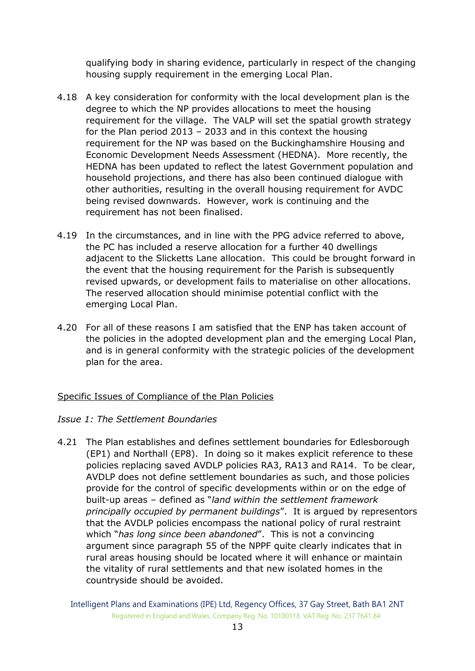qualifying body in sharing evidence, particularly in respect of the changing housing supply requirement in the emerging Local Plan.

- 4.18 A key consideration for conformity with the local development plan is the degree to which the NP provides allocations to meet the housing requirement for the village. The VALP will set the spatial growth strategy for the Plan period 2013 – 2033 and in this context the housing requirement for the NP was based on the Buckinghamshire Housing and Economic Development Needs Assessment (HEDNA). More recently, the HEDNA has been updated to reflect the latest Government population and household projections, and there has also been continued dialogue with other authorities, resulting in the overall housing requirement for AVDC being revised downwards. However, work is continuing and the requirement has not been finalised.
- 4.19 In the circumstances, and in line with the PPG advice referred to above, the PC has included a reserve allocation for a further 40 dwellings adjacent to the Slicketts Lane allocation. This could be brought forward in the event that the housing requirement for the Parish is subsequently revised upwards, or development fails to materialise on other allocations. The reserved allocation should minimise potential conflict with the emerging Local Plan.
- 4.20 For all of these reasons I am satisfied that the ENP has taken account of the policies in the adopted development plan and the emerging Local Plan, and is in general conformity with the strategic policies of the development plan for the area.

#### Specific Issues of Compliance of the Plan Policies

#### *Issue 1: The Settlement Boundaries*

4.21 The Plan establishes and defines settlement boundaries for Edlesborough (EP1) and Northall (EP8). In doing so it makes explicit reference to these policies replacing saved AVDLP policies RA3, RA13 and RA14. To be clear, AVDLP does not define settlement boundaries as such, and those policies provide for the control of specific developments within or on the edge of built-up areas – defined as "*land within the settlement framework principally occupied by permanent buildings*". It is argued by representors that the AVDLP policies encompass the national policy of rural restraint which "*has long since been abandoned*". This is not a convincing argument since paragraph 55 of the NPPF quite clearly indicates that in rural areas housing should be located where it will enhance or maintain the vitality of rural settlements and that new isolated homes in the countryside should be avoided.

Intelligent Plans and Examinations (IPE) Ltd, Regency Offices, 37 Gay Street, Bath BA1 2NT Registered in England and Wales. Company Reg. No. 10100118. VAT Reg. No. 237 7641 84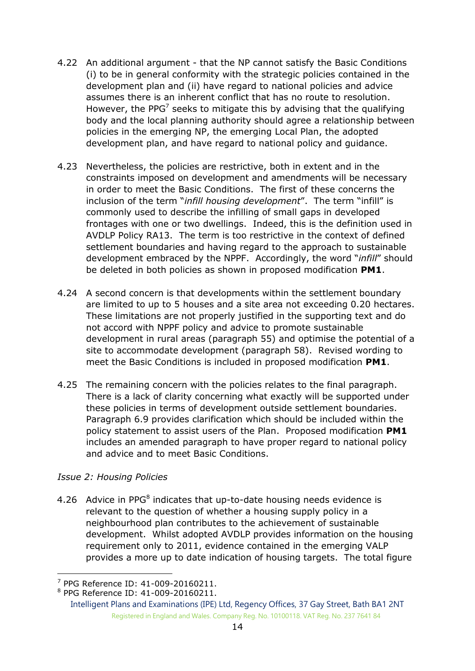- 4.22 An additional argument that the NP cannot satisfy the Basic Conditions (i) to be in general conformity with the strategic policies contained in the development plan and (ii) have regard to national policies and advice assumes there is an inherent conflict that has no route to resolution. However, the PPG<sup>7</sup> seeks to mitigate this by advising that the qualifying body and the local planning authority should agree a relationship between policies in the emerging NP, the emerging Local Plan, the adopted development plan, and have regard to national policy and guidance.
- 4.23 Nevertheless, the policies are restrictive, both in extent and in the constraints imposed on development and amendments will be necessary in order to meet the Basic Conditions. The first of these concerns the inclusion of the term "*infill housing development*". The term "infill" is commonly used to describe the infilling of small gaps in developed frontages with one or two dwellings. Indeed, this is the definition used in AVDLP Policy RA13. The term is too restrictive in the context of defined settlement boundaries and having regard to the approach to sustainable development embraced by the NPPF. Accordingly, the word "*infill*" should be deleted in both policies as shown in proposed modification **PM1**.
- 4.24 A second concern is that developments within the settlement boundary are limited to up to 5 houses and a site area not exceeding 0.20 hectares. These limitations are not properly justified in the supporting text and do not accord with NPPF policy and advice to promote sustainable development in rural areas (paragraph 55) and optimise the potential of a site to accommodate development (paragraph 58). Revised wording to meet the Basic Conditions is included in proposed modification **PM1**.
- 4.25 The remaining concern with the policies relates to the final paragraph. There is a lack of clarity concerning what exactly will be supported under these policies in terms of development outside settlement boundaries. Paragraph 6.9 provides clarification which should be included within the policy statement to assist users of the Plan. Proposed modification **PM1** includes an amended paragraph to have proper regard to national policy and advice and to meet Basic Conditions.

#### *Issue 2: Housing Policies*

4.26 Advice in PPG $<sup>8</sup>$  indicates that up-to-date housing needs evidence is</sup> relevant to the question of whether a housing supply policy in a neighbourhood plan contributes to the achievement of sustainable development. Whilst adopted AVDLP provides information on the housing requirement only to 2011, evidence contained in the emerging VALP provides a more up to date indication of housing targets. The total figure

<sup>-</sup>7 PPG Reference ID: 41-009-20160211.

<sup>8</sup> PPG Reference ID: 41-009-20160211.

Intelligent Plans and Examinations (IPE) Ltd, Regency Offices, 37 Gay Street, Bath BA1 2NT Registered in England and Wales. Company Reg. No. 10100118. VAT Reg. No. 237 7641 84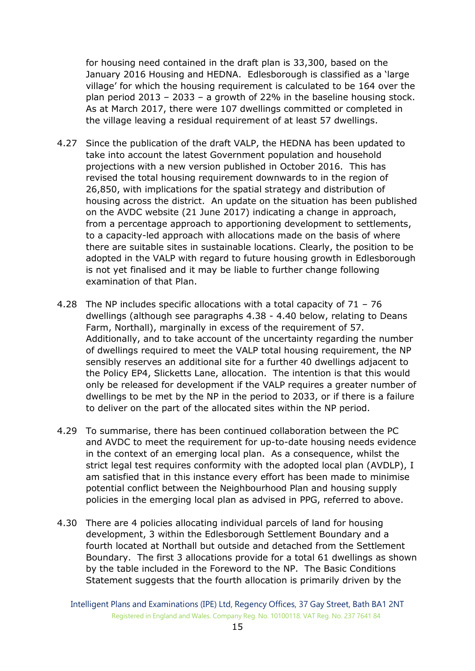for housing need contained in the draft plan is 33,300, based on the January 2016 Housing and HEDNA. Edlesborough is classified as a 'large village' for which the housing requirement is calculated to be 164 over the plan period 2013 – 2033 – a growth of 22% in the baseline housing stock. As at March 2017, there were 107 dwellings committed or completed in the village leaving a residual requirement of at least 57 dwellings.

- 4.27 Since the publication of the draft VALP, the HEDNA has been updated to take into account the latest Government population and household projections with a new version published in October 2016. This has revised the total housing requirement downwards to in the region of 26,850, with implications for the spatial strategy and distribution of housing across the district. An update on the situation has been published on the AVDC website (21 June 2017) indicating a change in approach, from a percentage approach to apportioning development to settlements, to a capacity-led approach with allocations made on the basis of where there are suitable sites in sustainable locations. Clearly, the position to be adopted in the VALP with regard to future housing growth in Edlesborough is not yet finalised and it may be liable to further change following examination of that Plan.
- 4.28 The NP includes specific allocations with a total capacity of 71 76 dwellings (although see paragraphs 4.38 - 4.40 below, relating to Deans Farm, Northall), marginally in excess of the requirement of 57. Additionally, and to take account of the uncertainty regarding the number of dwellings required to meet the VALP total housing requirement, the NP sensibly reserves an additional site for a further 40 dwellings adjacent to the Policy EP4, Slicketts Lane, allocation. The intention is that this would only be released for development if the VALP requires a greater number of dwellings to be met by the NP in the period to 2033, or if there is a failure to deliver on the part of the allocated sites within the NP period.
- 4.29 To summarise, there has been continued collaboration between the PC and AVDC to meet the requirement for up-to-date housing needs evidence in the context of an emerging local plan. As a consequence, whilst the strict legal test requires conformity with the adopted local plan (AVDLP), I am satisfied that in this instance every effort has been made to minimise potential conflict between the Neighbourhood Plan and housing supply policies in the emerging local plan as advised in PPG, referred to above.
- 4.30 There are 4 policies allocating individual parcels of land for housing development, 3 within the Edlesborough Settlement Boundary and a fourth located at Northall but outside and detached from the Settlement Boundary. The first 3 allocations provide for a total 61 dwellings as shown by the table included in the Foreword to the NP. The Basic Conditions Statement suggests that the fourth allocation is primarily driven by the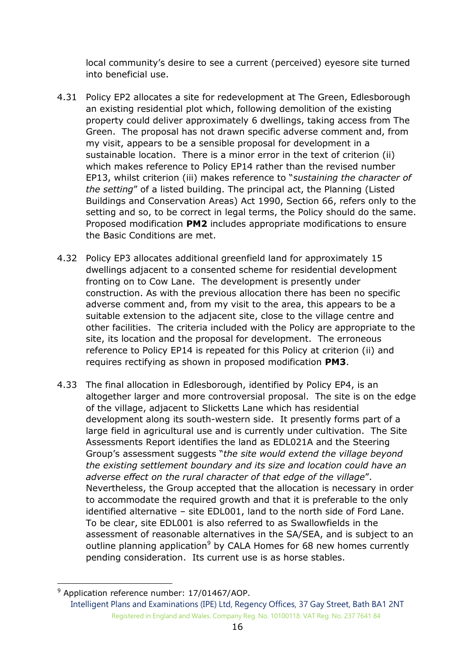local community's desire to see a current (perceived) eyesore site turned into beneficial use.

- 4.31 Policy EP2 allocates a site for redevelopment at The Green, Edlesborough an existing residential plot which, following demolition of the existing property could deliver approximately 6 dwellings, taking access from The Green. The proposal has not drawn specific adverse comment and, from my visit, appears to be a sensible proposal for development in a sustainable location. There is a minor error in the text of criterion (ii) which makes reference to Policy EP14 rather than the revised number EP13, whilst criterion (iii) makes reference to "*sustaining the character of the setting*" of a listed building. The principal act, the Planning (Listed Buildings and Conservation Areas) Act 1990, Section 66, refers only to the setting and so, to be correct in legal terms, the Policy should do the same. Proposed modification **PM2** includes appropriate modifications to ensure the Basic Conditions are met.
- 4.32 Policy EP3 allocates additional greenfield land for approximately 15 dwellings adjacent to a consented scheme for residential development fronting on to Cow Lane. The development is presently under construction. As with the previous allocation there has been no specific adverse comment and, from my visit to the area, this appears to be a suitable extension to the adjacent site, close to the village centre and other facilities. The criteria included with the Policy are appropriate to the site, its location and the proposal for development. The erroneous reference to Policy EP14 is repeated for this Policy at criterion (ii) and requires rectifying as shown in proposed modification **PM3**.
- 4.33 The final allocation in Edlesborough, identified by Policy EP4, is an altogether larger and more controversial proposal. The site is on the edge of the village, adjacent to Slicketts Lane which has residential development along its south-western side. It presently forms part of a large field in agricultural use and is currently under cultivation. The Site Assessments Report identifies the land as EDL021A and the Steering Group's assessment suggests "*the site would extend the village beyond the existing settlement boundary and its size and location could have an adverse effect on the rural character of that edge of the village*". Nevertheless, the Group accepted that the allocation is necessary in order to accommodate the required growth and that it is preferable to the only identified alternative – site EDL001, land to the north side of Ford Lane. To be clear, site EDL001 is also referred to as Swallowfields in the assessment of reasonable alternatives in the SA/SEA, and is subject to an outline planning application<sup>9</sup> by CALA Homes for 68 new homes currently pending consideration. Its current use is as horse stables.

-

Intelligent Plans and Examinations (IPE) Ltd, Regency Offices, 37 Gay Street, Bath BA1 2NT Registered in England and Wales. Company Reg. No. 10100118. VAT Reg. No. 237 7641 84  $9$  Application reference number: 17/01467/AOP.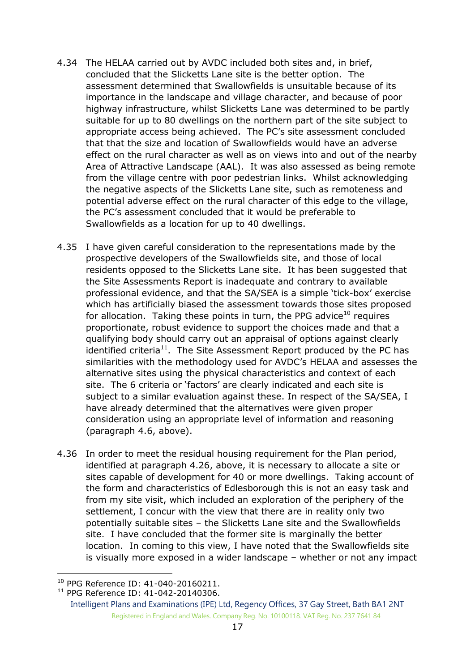- 4.34 The HELAA carried out by AVDC included both sites and, in brief, concluded that the Slicketts Lane site is the better option. The assessment determined that Swallowfields is unsuitable because of its importance in the landscape and village character, and because of poor highway infrastructure, whilst Slicketts Lane was determined to be partly suitable for up to 80 dwellings on the northern part of the site subject to appropriate access being achieved. The PC's site assessment concluded that that the size and location of Swallowfields would have an adverse effect on the rural character as well as on views into and out of the nearby Area of Attractive Landscape (AAL). It was also assessed as being remote from the village centre with poor pedestrian links. Whilst acknowledging the negative aspects of the Slicketts Lane site, such as remoteness and potential adverse effect on the rural character of this edge to the village, the PC's assessment concluded that it would be preferable to Swallowfields as a location for up to 40 dwellings.
- 4.35 I have given careful consideration to the representations made by the prospective developers of the Swallowfields site, and those of local residents opposed to the Slicketts Lane site. It has been suggested that the Site Assessments Report is inadequate and contrary to available professional evidence, and that the SA/SEA is a simple 'tick-box' exercise which has artificially biased the assessment towards those sites proposed for allocation. Taking these points in turn, the PPG advice<sup>10</sup> requires proportionate, robust evidence to support the choices made and that a qualifying body should carry out an appraisal of options against clearly identified criteria<sup>11</sup>. The Site Assessment Report produced by the PC has similarities with the methodology used for AVDC's HELAA and assesses the alternative sites using the physical characteristics and context of each site. The 6 criteria or 'factors' are clearly indicated and each site is subject to a similar evaluation against these. In respect of the SA/SEA, I have already determined that the alternatives were given proper consideration using an appropriate level of information and reasoning (paragraph 4.6, above).
- 4.36 In order to meet the residual housing requirement for the Plan period, identified at paragraph 4.26, above, it is necessary to allocate a site or sites capable of development for 40 or more dwellings. Taking account of the form and characteristics of Edlesborough this is not an easy task and from my site visit, which included an exploration of the periphery of the settlement, I concur with the view that there are in reality only two potentially suitable sites – the Slicketts Lane site and the Swallowfields site. I have concluded that the former site is marginally the better location. In coming to this view, I have noted that the Swallowfields site is visually more exposed in a wider landscape – whether or not any impact

-

<sup>10</sup> PPG Reference ID: 41-040-20160211.

<sup>&</sup>lt;sup>11</sup> PPG Reference ID: 41-042-20140306.

Intelligent Plans and Examinations (IPE) Ltd, Regency Offices, 37 Gay Street, Bath BA1 2NT Registered in England and Wales. Company Reg. No. 10100118. VAT Reg. No. 237 7641 84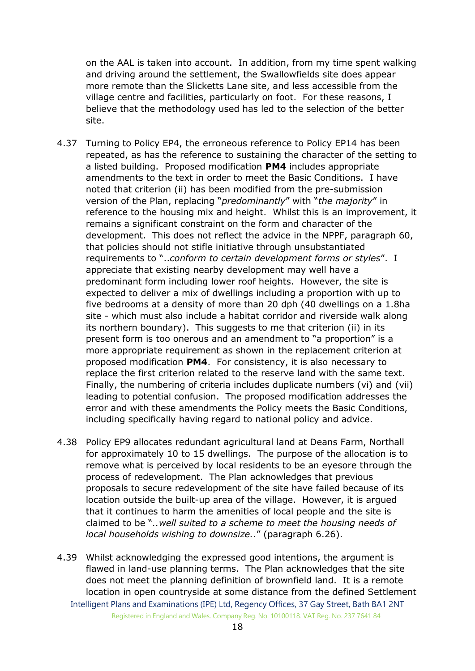on the AAL is taken into account. In addition, from my time spent walking and driving around the settlement, the Swallowfields site does appear more remote than the Slicketts Lane site, and less accessible from the village centre and facilities, particularly on foot. For these reasons, I believe that the methodology used has led to the selection of the better site.

- 4.37 Turning to Policy EP4, the erroneous reference to Policy EP14 has been repeated, as has the reference to sustaining the character of the setting to a listed building. Proposed modification **PM4** includes appropriate amendments to the text in order to meet the Basic Conditions. I have noted that criterion (ii) has been modified from the pre-submission version of the Plan, replacing "*predominantly*" with "*the majority*" in reference to the housing mix and height. Whilst this is an improvement, it remains a significant constraint on the form and character of the development. This does not reflect the advice in the NPPF, paragraph 60, that policies should not stifle initiative through unsubstantiated requirements to "..*conform to certain development forms or styles*". I appreciate that existing nearby development may well have a predominant form including lower roof heights. However, the site is expected to deliver a mix of dwellings including a proportion with up to five bedrooms at a density of more than 20 dph (40 dwellings on a 1.8ha site - which must also include a habitat corridor and riverside walk along its northern boundary). This suggests to me that criterion (ii) in its present form is too onerous and an amendment to "a proportion" is a more appropriate requirement as shown in the replacement criterion at proposed modification **PM4**. For consistency, it is also necessary to replace the first criterion related to the reserve land with the same text. Finally, the numbering of criteria includes duplicate numbers (vi) and (vii) leading to potential confusion. The proposed modification addresses the error and with these amendments the Policy meets the Basic Conditions, including specifically having regard to national policy and advice.
- 4.38 Policy EP9 allocates redundant agricultural land at Deans Farm, Northall for approximately 10 to 15 dwellings. The purpose of the allocation is to remove what is perceived by local residents to be an eyesore through the process of redevelopment. The Plan acknowledges that previous proposals to secure redevelopment of the site have failed because of its location outside the built-up area of the village. However, it is argued that it continues to harm the amenities of local people and the site is claimed to be "*..well suited to a scheme to meet the housing needs of local households wishing to downsize..*" (paragraph 6.26).
- Intelligent Plans and Examinations (IPE) Ltd, Regency Offices, 37 Gay Street, Bath BA1 2NT Registered in England and Wales. Company Reg. No. 10100118. VAT Reg. No. 237 7641 84 4.39 Whilst acknowledging the expressed good intentions, the argument is flawed in land-use planning terms. The Plan acknowledges that the site does not meet the planning definition of brownfield land. It is a remote location in open countryside at some distance from the defined Settlement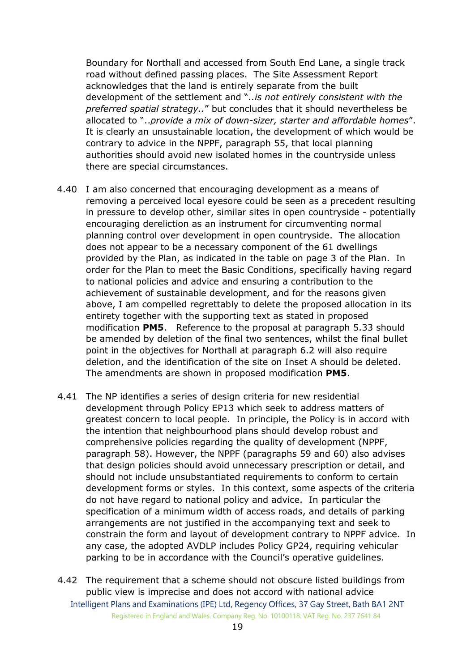Boundary for Northall and accessed from South End Lane, a single track road without defined passing places. The Site Assessment Report acknowledges that the land is entirely separate from the built development of the settlement and "*..is not entirely consistent with the preferred spatial strategy..*" but concludes that it should nevertheless be allocated to "..*provide a mix of down-sizer, starter and affordable homes*". It is clearly an unsustainable location, the development of which would be contrary to advice in the NPPF, paragraph 55, that local planning authorities should avoid new isolated homes in the countryside unless there are special circumstances.

- 4.40 I am also concerned that encouraging development as a means of removing a perceived local eyesore could be seen as a precedent resulting in pressure to develop other, similar sites in open countryside - potentially encouraging dereliction as an instrument for circumventing normal planning control over development in open countryside. The allocation does not appear to be a necessary component of the 61 dwellings provided by the Plan, as indicated in the table on page 3 of the Plan. In order for the Plan to meet the Basic Conditions, specifically having regard to national policies and advice and ensuring a contribution to the achievement of sustainable development, and for the reasons given above, I am compelled regrettably to delete the proposed allocation in its entirety together with the supporting text as stated in proposed modification **PM5**. Reference to the proposal at paragraph 5.33 should be amended by deletion of the final two sentences, whilst the final bullet point in the objectives for Northall at paragraph 6.2 will also require deletion, and the identification of the site on Inset A should be deleted. The amendments are shown in proposed modification **PM5**.
- 4.41 The NP identifies a series of design criteria for new residential development through Policy EP13 which seek to address matters of greatest concern to local people. In principle, the Policy is in accord with the intention that neighbourhood plans should develop robust and comprehensive policies regarding the quality of development (NPPF, paragraph 58). However, the NPPF (paragraphs 59 and 60) also advises that design policies should avoid unnecessary prescription or detail, and should not include unsubstantiated requirements to conform to certain development forms or styles. In this context, some aspects of the criteria do not have regard to national policy and advice. In particular the specification of a minimum width of access roads, and details of parking arrangements are not justified in the accompanying text and seek to constrain the form and layout of development contrary to NPPF advice. In any case, the adopted AVDLP includes Policy GP24, requiring vehicular parking to be in accordance with the Council's operative guidelines.
- Intelligent Plans and Examinations (IPE) Ltd, Regency Offices, 37 Gay Street, Bath BA1 2NT Registered in England and Wales. Company Reg. No. 10100118. VAT Reg. No. 237 7641 84 4.42 The requirement that a scheme should not obscure listed buildings from public view is imprecise and does not accord with national advice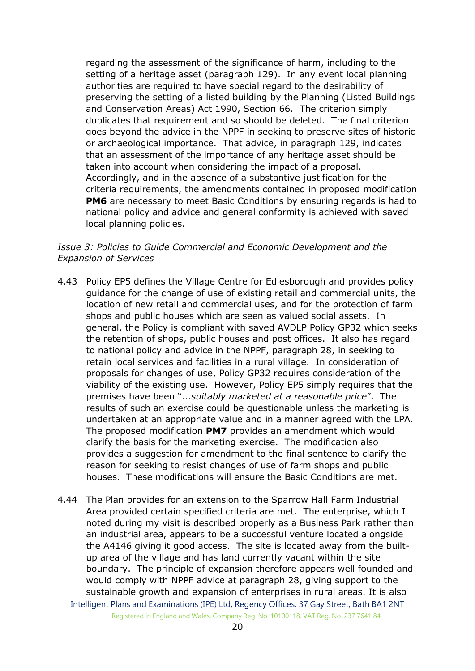regarding the assessment of the significance of harm, including to the setting of a heritage asset (paragraph 129). In any event local planning authorities are required to have special regard to the desirability of preserving the setting of a listed building by the Planning (Listed Buildings and Conservation Areas) Act 1990, Section 66. The criterion simply duplicates that requirement and so should be deleted. The final criterion goes beyond the advice in the NPPF in seeking to preserve sites of historic or archaeological importance. That advice, in paragraph 129, indicates that an assessment of the importance of any heritage asset should be taken into account when considering the impact of a proposal. Accordingly, and in the absence of a substantive justification for the criteria requirements, the amendments contained in proposed modification **PM6** are necessary to meet Basic Conditions by ensuring regards is had to national policy and advice and general conformity is achieved with saved local planning policies.

#### *Issue 3: Policies to Guide Commercial and Economic Development and the Expansion of Services*

- 4.43 Policy EP5 defines the Village Centre for Edlesborough and provides policy guidance for the change of use of existing retail and commercial units, the location of new retail and commercial uses, and for the protection of farm shops and public houses which are seen as valued social assets. In general, the Policy is compliant with saved AVDLP Policy GP32 which seeks the retention of shops, public houses and post offices. It also has regard to national policy and advice in the NPPF, paragraph 28, in seeking to retain local services and facilities in a rural village. In consideration of proposals for changes of use, Policy GP32 requires consideration of the viability of the existing use. However, Policy EP5 simply requires that the premises have been "...*suitably marketed at a reasonable price*". The results of such an exercise could be questionable unless the marketing is undertaken at an appropriate value and in a manner agreed with the LPA. The proposed modification **PM7** provides an amendment which would clarify the basis for the marketing exercise. The modification also provides a suggestion for amendment to the final sentence to clarify the reason for seeking to resist changes of use of farm shops and public houses. These modifications will ensure the Basic Conditions are met.
- Intelligent Plans and Examinations (IPE) Ltd, Regency Offices, 37 Gay Street, Bath BA1 2NT 4.44 The Plan provides for an extension to the Sparrow Hall Farm Industrial Area provided certain specified criteria are met. The enterprise, which I noted during my visit is described properly as a Business Park rather than an industrial area, appears to be a successful venture located alongside the A4146 giving it good access. The site is located away from the builtup area of the village and has land currently vacant within the site boundary. The principle of expansion therefore appears well founded and would comply with NPPF advice at paragraph 28, giving support to the sustainable growth and expansion of enterprises in rural areas. It is also

Registered in England and Wales. Company Reg. No. 10100118. VAT Reg. No. 237 7641 84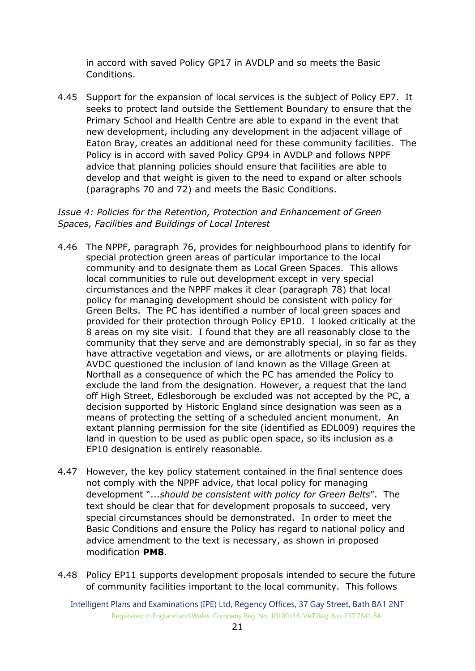in accord with saved Policy GP17 in AVDLP and so meets the Basic Conditions.

4.45 Support for the expansion of local services is the subject of Policy EP7. It seeks to protect land outside the Settlement Boundary to ensure that the Primary School and Health Centre are able to expand in the event that new development, including any development in the adjacent village of Eaton Bray, creates an additional need for these community facilities. The Policy is in accord with saved Policy GP94 in AVDLP and follows NPPF advice that planning policies should ensure that facilities are able to develop and that weight is given to the need to expand or alter schools (paragraphs 70 and 72) and meets the Basic Conditions.

## *Issue 4: Policies for the Retention, Protection and Enhancement of Green Spaces, Facilities and Buildings of Local Interest*

- 4.46 The NPPF, paragraph 76, provides for neighbourhood plans to identify for special protection green areas of particular importance to the local community and to designate them as Local Green Spaces. This allows local communities to rule out development except in very special circumstances and the NPPF makes it clear (paragraph 78) that local policy for managing development should be consistent with policy for Green Belts. The PC has identified a number of local green spaces and provided for their protection through Policy EP10. I looked critically at the 8 areas on my site visit. I found that they are all reasonably close to the community that they serve and are demonstrably special, in so far as they have attractive vegetation and views, or are allotments or playing fields. AVDC questioned the inclusion of land known as the Village Green at Northall as a consequence of which the PC has amended the Policy to exclude the land from the designation. However, a request that the land off High Street, Edlesborough be excluded was not accepted by the PC, a decision supported by Historic England since designation was seen as a means of protecting the setting of a scheduled ancient monument. An extant planning permission for the site (identified as EDL009) requires the land in question to be used as public open space, so its inclusion as a EP10 designation is entirely reasonable.
- 4.47 However, the key policy statement contained in the final sentence does not comply with the NPPF advice, that local policy for managing development "...*should be consistent with policy for Green Belts*". The text should be clear that for development proposals to succeed, very special circumstances should be demonstrated. In order to meet the Basic Conditions and ensure the Policy has regard to national policy and advice amendment to the text is necessary, as shown in proposed modification **PM8**.
- 4.48 Policy EP11 supports development proposals intended to secure the future of community facilities important to the local community. This follows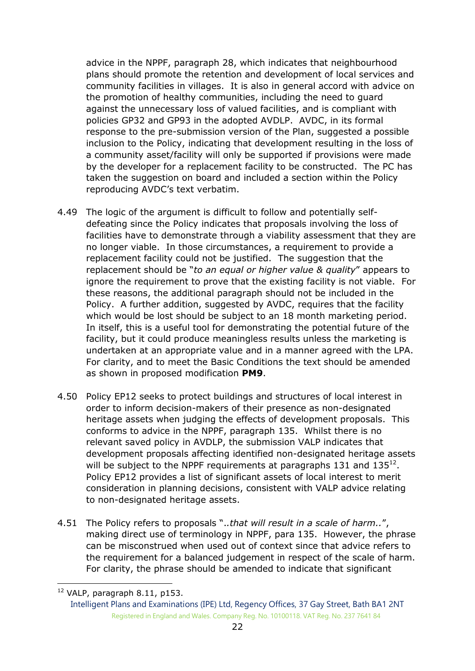advice in the NPPF, paragraph 28, which indicates that neighbourhood plans should promote the retention and development of local services and community facilities in villages. It is also in general accord with advice on the promotion of healthy communities, including the need to guard against the unnecessary loss of valued facilities, and is compliant with policies GP32 and GP93 in the adopted AVDLP. AVDC, in its formal response to the pre-submission version of the Plan, suggested a possible inclusion to the Policy, indicating that development resulting in the loss of a community asset/facility will only be supported if provisions were made by the developer for a replacement facility to be constructed. The PC has taken the suggestion on board and included a section within the Policy reproducing AVDC's text verbatim.

- 4.49 The logic of the argument is difficult to follow and potentially selfdefeating since the Policy indicates that proposals involving the loss of facilities have to demonstrate through a viability assessment that they are no longer viable. In those circumstances, a requirement to provide a replacement facility could not be justified. The suggestion that the replacement should be "*to an equal or higher value & quality*" appears to ignore the requirement to prove that the existing facility is not viable. For these reasons, the additional paragraph should not be included in the Policy. A further addition, suggested by AVDC, requires that the facility which would be lost should be subject to an 18 month marketing period. In itself, this is a useful tool for demonstrating the potential future of the facility, but it could produce meaningless results unless the marketing is undertaken at an appropriate value and in a manner agreed with the LPA. For clarity, and to meet the Basic Conditions the text should be amended as shown in proposed modification **PM9**.
- 4.50 Policy EP12 seeks to protect buildings and structures of local interest in order to inform decision-makers of their presence as non-designated heritage assets when judging the effects of development proposals. This conforms to advice in the NPPF, paragraph 135. Whilst there is no relevant saved policy in AVDLP, the submission VALP indicates that development proposals affecting identified non-designated heritage assets will be subject to the NPPF requirements at paragraphs 131 and  $135^{12}$ . Policy EP12 provides a list of significant assets of local interest to merit consideration in planning decisions, consistent with VALP advice relating to non-designated heritage assets.
- 4.51 The Policy refers to proposals ".*.that will result in a scale of harm..*", making direct use of terminology in NPPF, para 135. However, the phrase can be misconstrued when used out of context since that advice refers to the requirement for a balanced judgement in respect of the scale of harm. For clarity, the phrase should be amended to indicate that significant

-

 $12$  VALP, paragraph 8.11, p153.

Intelligent Plans and Examinations (IPE) Ltd, Regency Offices, 37 Gay Street, Bath BA1 2NT Registered in England and Wales. Company Reg. No. 10100118. VAT Reg. No. 237 7641 84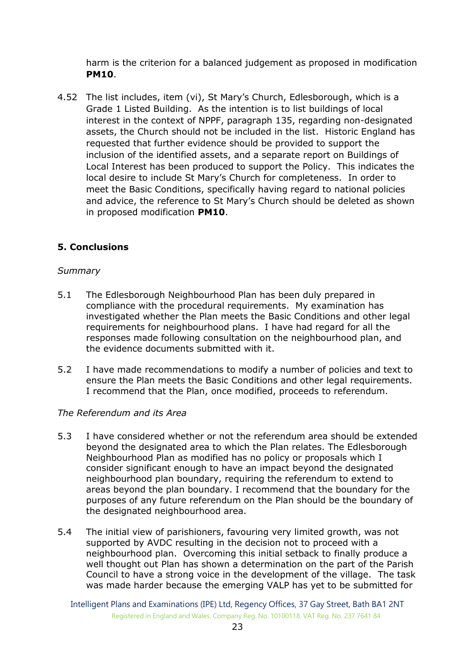harm is the criterion for a balanced judgement as proposed in modification **PM10**.

4.52 The list includes, item (vi), St Mary's Church, Edlesborough, which is a Grade 1 Listed Building. As the intention is to list buildings of local interest in the context of NPPF, paragraph 135, regarding non-designated assets, the Church should not be included in the list. Historic England has requested that further evidence should be provided to support the inclusion of the identified assets, and a separate report on Buildings of Local Interest has been produced to support the Policy. This indicates the local desire to include St Mary's Church for completeness. In order to meet the Basic Conditions, specifically having regard to national policies and advice, the reference to St Mary's Church should be deleted as shown in proposed modification **PM10**.

# **5. Conclusions**

#### *Summary*

- 5.1 The Edlesborough Neighbourhood Plan has been duly prepared in compliance with the procedural requirements. My examination has investigated whether the Plan meets the Basic Conditions and other legal requirements for neighbourhood plans. I have had regard for all the responses made following consultation on the neighbourhood plan, and the evidence documents submitted with it.
- 5.2 I have made recommendations to modify a number of policies and text to ensure the Plan meets the Basic Conditions and other legal requirements. I recommend that the Plan, once modified, proceeds to referendum.

#### *The Referendum and its Area*

- 5.3 I have considered whether or not the referendum area should be extended beyond the designated area to which the Plan relates. The Edlesborough Neighbourhood Plan as modified has no policy or proposals which I consider significant enough to have an impact beyond the designated neighbourhood plan boundary, requiring the referendum to extend to areas beyond the plan boundary. I recommend that the boundary for the purposes of any future referendum on the Plan should be the boundary of the designated neighbourhood area.
- 5.4 The initial view of parishioners, favouring very limited growth, was not supported by AVDC resulting in the decision not to proceed with a neighbourhood plan. Overcoming this initial setback to finally produce a well thought out Plan has shown a determination on the part of the Parish Council to have a strong voice in the development of the village. The task was made harder because the emerging VALP has yet to be submitted for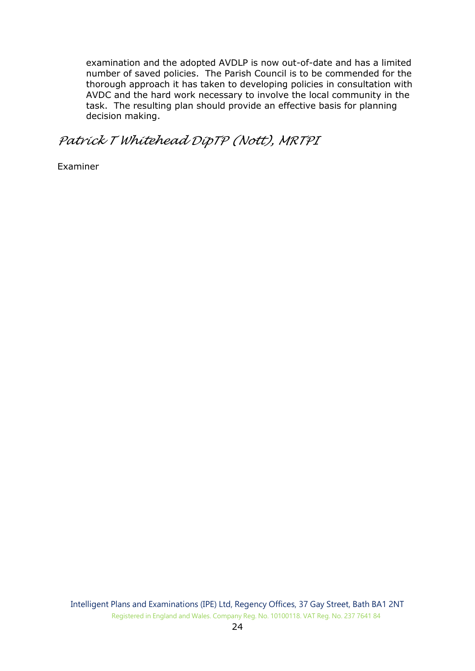examination and the adopted AVDLP is now out-of-date and has a limited number of saved policies. The Parish Council is to be commended for the thorough approach it has taken to developing policies in consultation with AVDC and the hard work necessary to involve the local community in the task. The resulting plan should provide an effective basis for planning decision making.

# *Patrick T Whitehead DipTP (Nott), MRTPI*

Examiner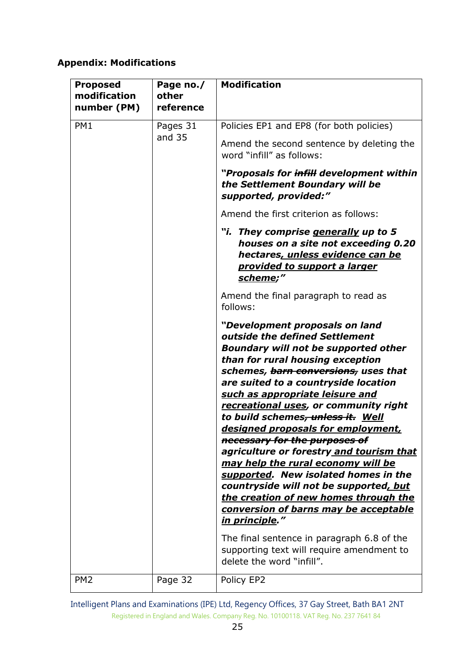# **Appendix: Modifications**

| <b>Proposed</b><br>modification<br>number (PM) | Page no./<br>other<br>reference | <b>Modification</b>                                                                                                                                                                                                                                                                                                                                                                                                                                                                                                                                                                                                                                                                                                                                                                                                                             |
|------------------------------------------------|---------------------------------|-------------------------------------------------------------------------------------------------------------------------------------------------------------------------------------------------------------------------------------------------------------------------------------------------------------------------------------------------------------------------------------------------------------------------------------------------------------------------------------------------------------------------------------------------------------------------------------------------------------------------------------------------------------------------------------------------------------------------------------------------------------------------------------------------------------------------------------------------|
| PM1                                            | Pages 31<br>and 35              | Policies EP1 and EP8 (for both policies)<br>Amend the second sentence by deleting the<br>word "infill" as follows:                                                                                                                                                                                                                                                                                                                                                                                                                                                                                                                                                                                                                                                                                                                              |
|                                                |                                 | "Proposals for infill development within<br>the Settlement Boundary will be<br>supported, provided:"                                                                                                                                                                                                                                                                                                                                                                                                                                                                                                                                                                                                                                                                                                                                            |
|                                                |                                 | Amend the first criterion as follows:                                                                                                                                                                                                                                                                                                                                                                                                                                                                                                                                                                                                                                                                                                                                                                                                           |
|                                                |                                 | "i. They comprise <u>generally</u> up to 5"<br>houses on a site not exceeding 0.20<br>hectares, unless evidence can be<br>provided to support a larger<br>scheme;"                                                                                                                                                                                                                                                                                                                                                                                                                                                                                                                                                                                                                                                                              |
|                                                |                                 | Amend the final paragraph to read as<br>follows:                                                                                                                                                                                                                                                                                                                                                                                                                                                                                                                                                                                                                                                                                                                                                                                                |
|                                                |                                 | "Development proposals on land<br>outside the defined Settlement<br><b>Boundary will not be supported other</b><br>than for rural housing exception<br>schemes, barn conversions, uses that<br>are suited to a countryside location<br>such as appropriate leisure and<br>recreational uses, or community right<br>to build schemes <del>, unless it.</del> Well<br>designed proposals for employment,<br>necessary for the purposes of<br>agriculture or forestry and tourism that<br>may help the rural economy will be<br>supported. New isolated homes in the<br>countryside will not be supported, but<br>the creation of new homes through the<br>conversion of barns may be acceptable<br><u>in principle</u> ."<br>The final sentence in paragraph 6.8 of the<br>supporting text will require amendment to<br>delete the word "infill". |
| PM <sub>2</sub>                                | Page 32                         | Policy EP2                                                                                                                                                                                                                                                                                                                                                                                                                                                                                                                                                                                                                                                                                                                                                                                                                                      |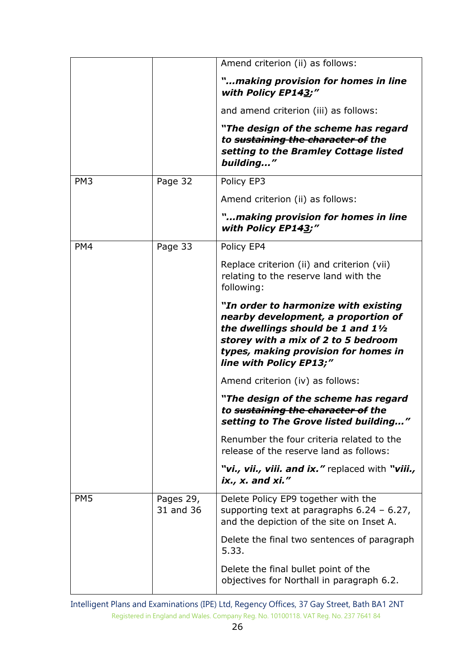|                 |                        | Amend criterion (ii) as follows:                                                                                                                                                                                            |
|-----------------|------------------------|-----------------------------------------------------------------------------------------------------------------------------------------------------------------------------------------------------------------------------|
|                 |                        | "making provision for homes in line<br>with Policy EP143;"                                                                                                                                                                  |
|                 |                        | and amend criterion (iii) as follows:                                                                                                                                                                                       |
|                 |                        | "The design of the scheme has regard<br>to sustaining the character of the<br>setting to the Bramley Cottage listed<br>building"                                                                                            |
| PM <sub>3</sub> | Page 32                | Policy EP3                                                                                                                                                                                                                  |
|                 |                        | Amend criterion (ii) as follows:                                                                                                                                                                                            |
|                 |                        | "making provision for homes in line<br>with Policy EP143;"                                                                                                                                                                  |
| PM4             | Page 33                | Policy EP4                                                                                                                                                                                                                  |
|                 |                        | Replace criterion (ii) and criterion (vii)<br>relating to the reserve land with the<br>following:                                                                                                                           |
|                 |                        | "In order to harmonize with existing<br>nearby development, a proportion of<br>the dwellings should be 1 and 11/2<br>storey with a mix of 2 to 5 bedroom<br>types, making provision for homes in<br>line with Policy EP13;" |
|                 |                        | Amend criterion (iv) as follows:                                                                                                                                                                                            |
|                 |                        | "The design of the scheme has regard<br>to <del>sustaining the character of</del> the<br>setting to The Grove listed building"                                                                                              |
|                 |                        | Renumber the four criteria related to the<br>release of the reserve land as follows:                                                                                                                                        |
|                 |                        | "vi., vii., viii. and ix." replaced with "viii.,<br>$ix_{1}, x_{2}$ and $xi'$                                                                                                                                               |
| PM <sub>5</sub> | Pages 29,<br>31 and 36 | Delete Policy EP9 together with the<br>supporting text at paragraphs $6.24 - 6.27$ ,<br>and the depiction of the site on Inset A.                                                                                           |
|                 |                        | Delete the final two sentences of paragraph<br>5.33.                                                                                                                                                                        |
|                 |                        | Delete the final bullet point of the<br>objectives for Northall in paragraph 6.2.                                                                                                                                           |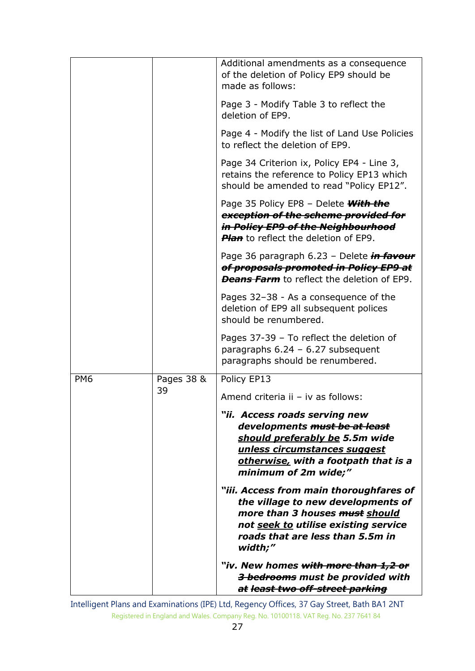|                 |            | Additional amendments as a consequence<br>of the deletion of Policy EP9 should be<br>made as follows:                                                                                                  |
|-----------------|------------|--------------------------------------------------------------------------------------------------------------------------------------------------------------------------------------------------------|
|                 |            | Page 3 - Modify Table 3 to reflect the<br>deletion of EP9.                                                                                                                                             |
|                 |            | Page 4 - Modify the list of Land Use Policies<br>to reflect the deletion of EP9.                                                                                                                       |
|                 |            | Page 34 Criterion ix, Policy EP4 - Line 3,<br>retains the reference to Policy EP13 which<br>should be amended to read "Policy EP12".                                                                   |
|                 |            | Page 35 Policy EP8 - Delete <b>With the</b><br>exception of the scheme provided for<br>in Policy EP9 of the Neighbourhood<br><b>Plan</b> to reflect the deletion of EP9.                               |
|                 |            | Page 36 paragraph 6.23 - Delete in favour<br>of proposals promoted in Policy EP9 at<br><b>Deans Farm</b> to reflect the deletion of EP9.                                                               |
|                 |            | Pages 32-38 - As a consequence of the<br>deletion of EP9 all subsequent polices<br>should be renumbered.                                                                                               |
|                 |            | Pages 37-39 - To reflect the deletion of<br>paragraphs $6.24 - 6.27$ subsequent<br>paragraphs should be renumbered.                                                                                    |
| PM <sub>6</sub> | Pages 38 & | Policy EP13                                                                                                                                                                                            |
|                 | 39         | Amend criteria ii - iv as follows:                                                                                                                                                                     |
|                 |            | "ii. Access roads serving new<br>developments must be at least<br>should preferably be 5.5m wide<br>unless circumstances suggest<br>otherwise, with a footpath that is a<br>minimum of 2m wide;"       |
|                 |            | "iii. Access from main thoroughfares of<br>the village to new developments of<br>more than 3 houses must should<br>not seek to utilise existing service<br>roads that are less than 5.5m in<br>width;" |
|                 |            | "iv. New homes <del>with more than 1,2 or</del><br>3 bedrooms must be provided with<br>at least two off-street parking                                                                                 |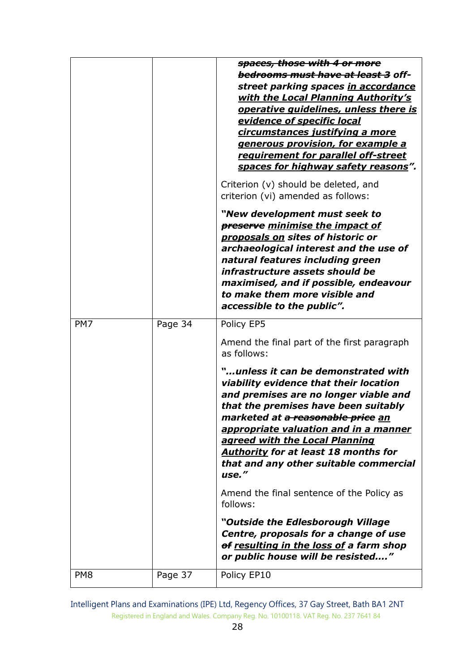|                 |         | spaces, those with 4 or more<br><del>bedrooms must have at least 3</del> off-<br>street parking spaces in accordance<br><u>with the Local Planning Authority's</u><br><b>operative quidelines, unless there is</b><br>evidence of specific local<br>circumstances justifying a more<br>generous provision, for example a<br>requirement for parallel off-street<br>spaces for highway safety reasons". |
|-----------------|---------|--------------------------------------------------------------------------------------------------------------------------------------------------------------------------------------------------------------------------------------------------------------------------------------------------------------------------------------------------------------------------------------------------------|
|                 |         | Criterion (v) should be deleted, and<br>criterion (vi) amended as follows:                                                                                                                                                                                                                                                                                                                             |
|                 |         | "New development must seek to<br><b>preserve</b> minimise the impact of<br>proposals on sites of historic or<br>archaeological interest and the use of<br>natural features including green<br>infrastructure assets should be<br>maximised, and if possible, endeavour<br>to make them more visible and<br>accessible to the public".                                                                  |
| PM7             | Page 34 | Policy EP5                                                                                                                                                                                                                                                                                                                                                                                             |
|                 |         | Amend the final part of the first paragraph<br>as follows:                                                                                                                                                                                                                                                                                                                                             |
|                 |         | "unless it can be demonstrated with<br>viability evidence that their location<br>and premises are no longer viable and<br>that the premises have been suitably<br>marketed at <del>a reasonable price</del> an<br>appropriate valuation and in a manner<br>agreed with the Local Planning<br><b>Authority for at least 18 months for</b><br>that and any other suitable commercial<br>use."            |
|                 |         | Amend the final sentence of the Policy as<br>follows:                                                                                                                                                                                                                                                                                                                                                  |
|                 |         | "Outside the Edlesborough Village<br>Centre, proposals for a change of use<br>of resulting in the loss of a farm shop<br>or public house will be resisted"                                                                                                                                                                                                                                             |
| PM <sub>8</sub> | Page 37 | Policy EP10                                                                                                                                                                                                                                                                                                                                                                                            |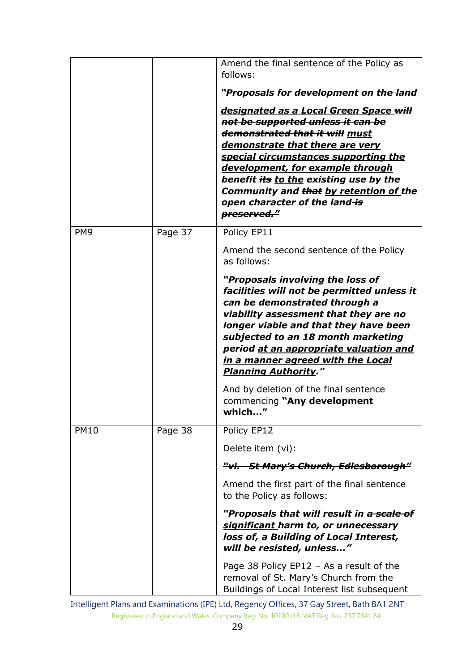|                 |         | Amend the final sentence of the Policy as<br>follows:                                                                                                                                                                                                                                                                                                                          |
|-----------------|---------|--------------------------------------------------------------------------------------------------------------------------------------------------------------------------------------------------------------------------------------------------------------------------------------------------------------------------------------------------------------------------------|
|                 |         | "Proposals for development on the-land                                                                                                                                                                                                                                                                                                                                         |
|                 |         | <u>designated as a Local Green Space will</u><br>not be supported unless it can be<br>demonstrated that it will must<br>demonstrate that there are very<br><u>special circumstances supporting the</u><br>development, for example through<br>benefit its to the existing use by the<br>Community and that by retention of the<br>open character of the land-is<br>preserved." |
| PM <sub>9</sub> | Page 37 | Policy EP11                                                                                                                                                                                                                                                                                                                                                                    |
|                 |         | Amend the second sentence of the Policy<br>as follows:                                                                                                                                                                                                                                                                                                                         |
|                 |         | "Proposals involving the loss of<br>facilities will not be permitted unless it<br>can be demonstrated through a<br>viability assessment that they are no<br>longer viable and that they have been<br>subjected to an 18 month marketing<br>period at an appropriate valuation and<br><u>in a manner agreed with the Local</u><br><b>Planning Authority."</b>                   |
|                 |         | And by deletion of the final sentence<br>commencing "Any development<br>"<br>which                                                                                                                                                                                                                                                                                             |
| <b>PM10</b>     | Page 38 | Policy EP12                                                                                                                                                                                                                                                                                                                                                                    |
|                 |         | Delete item (vi):                                                                                                                                                                                                                                                                                                                                                              |
|                 |         | <del>"vi.   St Mary's Church, Edlesborough"</del>                                                                                                                                                                                                                                                                                                                              |
|                 |         | Amend the first part of the final sentence<br>to the Policy as follows:                                                                                                                                                                                                                                                                                                        |
|                 |         | "Proposals that will result in <del>a scale of</del><br>significant harm to, or unnecessary<br>loss of, a Building of Local Interest,<br>will be resisted, unless"                                                                                                                                                                                                             |
|                 |         | Page 38 Policy $EPI2 - As$ a result of the<br>removal of St. Mary's Church from the<br>Buildings of Local Interest list subsequent                                                                                                                                                                                                                                             |